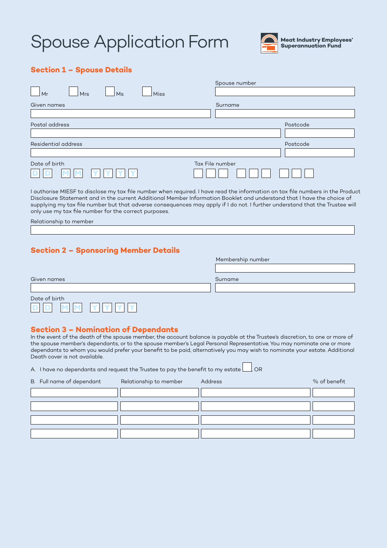# Spouse Application Form



#### **Section 1 – Spouse Details**

| Miss<br>Mrs<br>Ms<br>Mr | Spouse number   |
|-------------------------|-----------------|
| Given names             | Surname         |
|                         |                 |
| Postal address          | Postcode        |
|                         |                 |
| Residential address     | Postcode        |
|                         |                 |
| Date of birth           | Tax File number |
|                         |                 |

I authorise MIESF to disclose my tax file number when required. I have read the information on tax file numbers in the Product Disclosure Statement and in the current Additional Member Information Booklet and understand that I have the choice of supplying my tax file number but that adverse consequences may apply if I do not. I further understand that the Trustee will only use my tax file number for the correct purposes.

Relationship to member

Date of birth

## **Section 2 – Sponsoring Member Details**

|               | Membership number |
|---------------|-------------------|
|               |                   |
| Given names   | Surname           |
|               |                   |
| Date of birth |                   |

#### **Section 3 – Nomination of Dependants**

In the event of the death of the spouse member, the account balance is payable at the Trustee's discretion, to one or more of the spouse member's dependants, or to the spouse member's Legal Personal Representative. You may nominate one or more dependants to whom you would prefer your benefit to be paid, alternatively you may wish to nominate your estate. Additional Death cover is not available.

A. I have no dependants and request the Trustee to pay the benefit to my estate  $\Box$ , OR

| B. Full name of dependant | Relationship to member | Address | % of benefit |
|---------------------------|------------------------|---------|--------------|
|                           |                        |         |              |
|                           |                        |         |              |
|                           |                        |         |              |
|                           |                        |         |              |